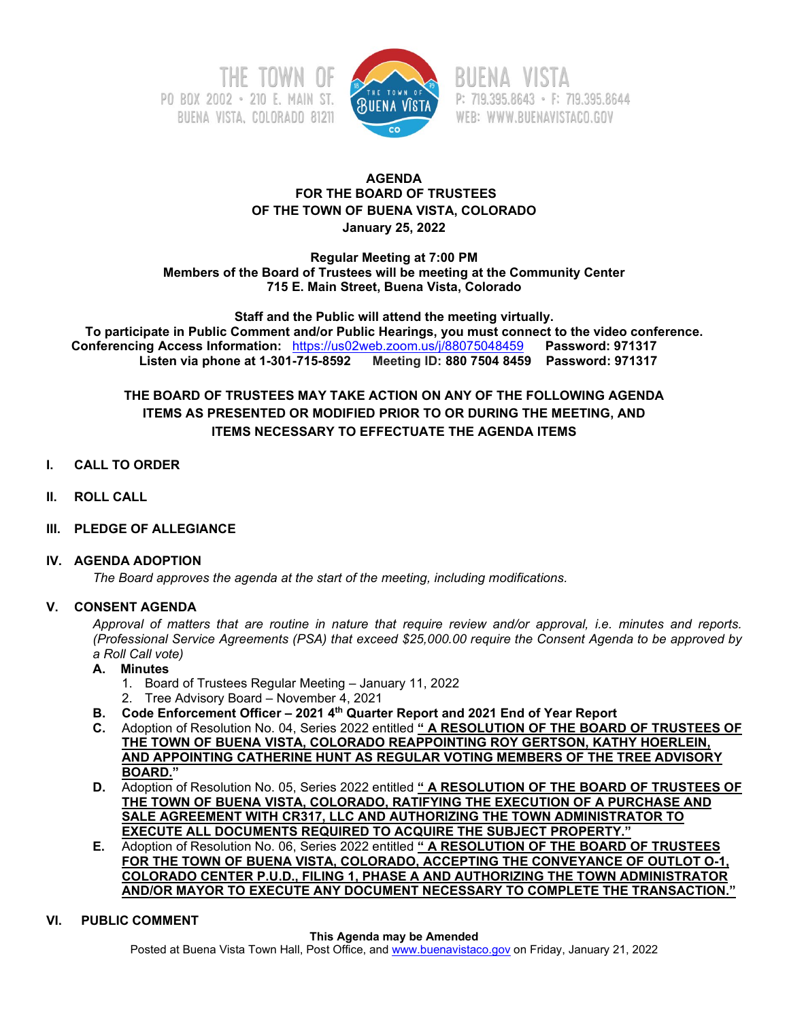



P: 719.395.8643 · F: 719.395.8644 WEB: WWW.BUENAVISTACO.GOV

## **AGENDA FOR THE BOARD OF TRUSTEES OF THE TOWN OF BUENA VISTA, COLORADO January 25, 2022**

**Regular Meeting at 7:00 PM Members of the Board of Trustees will be meeting at the Community Center 715 E. Main Street, Buena Vista, Colorado**

**Staff and the Public will attend the meeting virtually. To participate in Public Comment and/or Public Hearings, you must connect to the video conference. Conferencing Access Information:** <https://us02web.zoom.us/j/88075048459>**Password: 971317 Listen via phone at 1-301-715-8592 Meeting ID: 880 7504 8459 Password: 971317**

**THE BOARD OF TRUSTEES MAY TAKE ACTION ON ANY OF THE FOLLOWING AGENDA ITEMS AS PRESENTED OR MODIFIED PRIOR TO OR DURING THE MEETING, AND ITEMS NECESSARY TO EFFECTUATE THE AGENDA ITEMS**

## **I. CALL TO ORDER**

- **II. ROLL CALL**
- **III. PLEDGE OF ALLEGIANCE**

### **IV. AGENDA ADOPTION**

*The Board approves the agenda at the start of the meeting, including modifications.*

## **V. CONSENT AGENDA**

*Approval of matters that are routine in nature that require review and/or approval, i.e. minutes and reports. (Professional Service Agreements (PSA) that exceed \$25,000.00 require the Consent Agenda to be approved by a Roll Call vote)*

## **A. Minutes**

- 1. Board of Trustees Regular Meeting January 11, 2022
- 2. Tree Advisory Board November 4, 2021
- **B. Code Enforcement Officer – 2021 4th Quarter Report and 2021 End of Year Report**
- **C.** Adoption of Resolution No. 04, Series 2022 entitled **" A RESOLUTION OF THE BOARD OF TRUSTEES OF THE TOWN OF BUENA VISTA, COLORADO REAPPOINTING ROY GERTSON, KATHY HOERLEIN, AND APPOINTING CATHERINE HUNT AS REGULAR VOTING MEMBERS OF THE TREE ADVISORY BOARD."**
- **D.** Adoption of Resolution No. 05, Series 2022 entitled **" A RESOLUTION OF THE BOARD OF TRUSTEES OF THE TOWN OF BUENA VISTA, COLORADO, RATIFYING THE EXECUTION OF A PURCHASE AND SALE AGREEMENT WITH CR317, LLC AND AUTHORIZING THE TOWN ADMINISTRATOR TO EXECUTE ALL DOCUMENTS REQUIRED TO ACQUIRE THE SUBJECT PROPERTY."**
- **E.** Adoption of Resolution No. 06, Series 2022 entitled **" A RESOLUTION OF THE BOARD OF TRUSTEES FOR THE TOWN OF BUENA VISTA, COLORADO, ACCEPTING THE CONVEYANCE OF OUTLOT O-1, COLORADO CENTER P.U.D., FILING 1, PHASE A AND AUTHORIZING THE TOWN ADMINISTRATOR AND/OR MAYOR TO EXECUTE ANY DOCUMENT NECESSARY TO COMPLETE THE TRANSACTION."**

### **VI. PUBLIC COMMENT**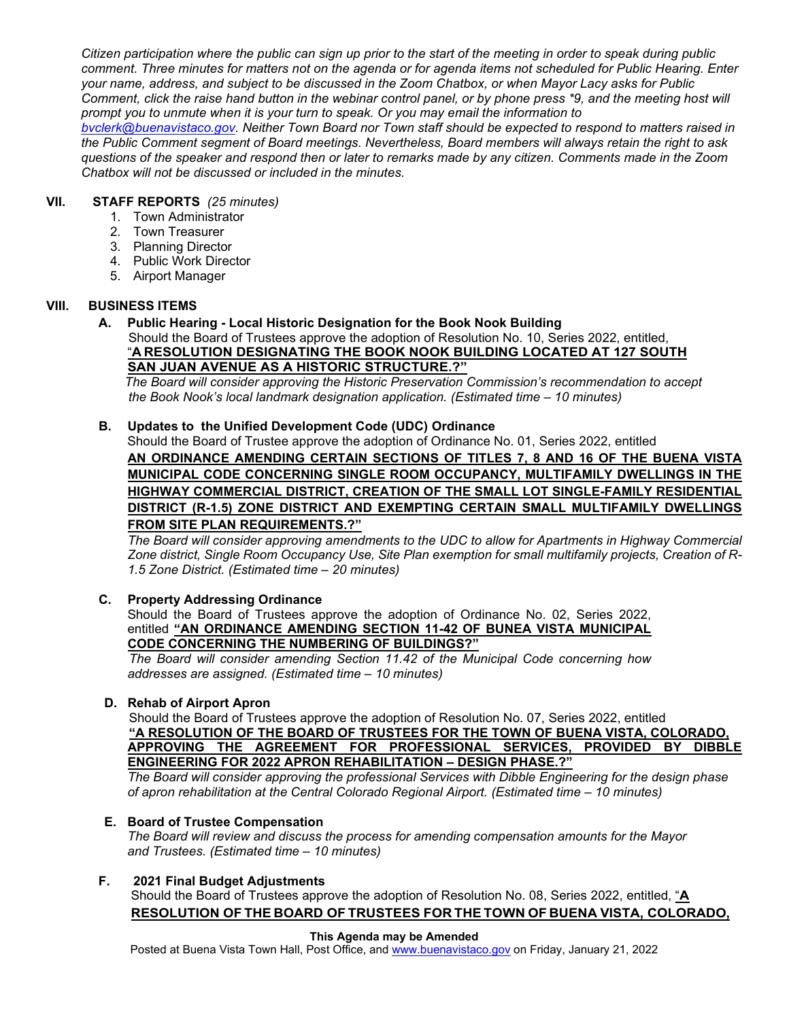*Citizen participation where the public can sign up prior to the start of the meeting in order to speak during public comment. Three minutes for matters not on the agenda or for agenda items not scheduled for Public Hearing. Enter your name, address, and subject to be discussed in the Zoom Chatbox, or when Mayor Lacy asks for Public Comment, click the raise hand button in the webinar control panel, or by phone press \*9, and the meeting host will prompt you to unmute when it is your turn to speak. Or you may email the information to* 

*[bvclerk@buenavistaco.gov.](mailto:bvclerk@buenavistaco.gov) Neither Town Board nor Town staff should be expected to respond to matters raised in the Public Comment segment of Board meetings. Nevertheless, Board members will always retain the right to ask questions of the speaker and respond then or later to remarks made by any citizen. Comments made in the Zoom Chatbox will not be discussed or included in the minutes.* 

## **VII. STAFF REPORTS** *(25 minutes)*

- 1. Town Administrator
- 2. Town Treasurer
- 3. Planning Director
- 4. Public Work Director
- 5. Airport Manager

## **VIII. BUSINESS ITEMS**

**A. Public Hearing - Local Historic Designation for the Book Nook Building** Should the Board of Trustees approve the adoption of Resolution No. 10, Series 2022, entitled, "**A RESOLUTION DESIGNATING THE BOOK NOOK BUILDING LOCATED AT 127 SOUTH SAN JUAN AVENUE AS A HISTORIC STRUCTURE.?"**

 *The Board will consider approving the Historic Preservation Commission's recommendation to accept the Book Nook's local landmark designation application. (Estimated time – 10 minutes)* 

### **B. Updates to the Unified Development Code (UDC) Ordinance**

Should the Board of Trustee approve the adoption of Ordinance No. 01, Series 2022, entitled **AN ORDINANCE AMENDING CERTAIN SECTIONS OF TITLES 7, 8 AND 16 OF THE BUENA VISTA MUNICIPAL CODE CONCERNING SINGLE ROOM OCCUPANCY, MULTIFAMILY DWELLINGS IN THE HIGHWAY COMMERCIAL DISTRICT, CREATION OF THE SMALL LOT SINGLE-FAMILY RESIDENTIAL DISTRICT (R-1.5) ZONE DISTRICT AND EXEMPTING CERTAIN SMALL MULTIFAMILY DWELLINGS FROM SITE PLAN REQUIREMENTS.?"**

*The Board will consider approving amendments to the UDC to allow for Apartments in Highway Commercial Zone district, Single Room Occupancy Use, Site Plan exemption for small multifamily projects, Creation of R-1.5 Zone District. (Estimated time – 20 minutes)*

## **C. Property Addressing Ordinance**

Should the Board of Trustees approve the adoption of Ordinance No. 02, Series 2022, entitled **"AN ORDINANCE AMENDING SECTION 11-42 OF BUNEA VISTA MUNICIPAL CODE CONCERNING THE NUMBERING OF BUILDINGS?"**

 *The Board will consider amending Section 11.42 of the Municipal Code concerning how addresses are assigned. (Estimated time – 10 minutes)*

### **D. Rehab of Airport Apron**

Should the Board of Trustees approve the adoption of Resolution No. 07, Series 2022, entitled **"A RESOLUTION OF THE BOARD OF TRUSTEES FOR THE TOWN OF BUENA VISTA, COLORADO, APPROVING THE AGREEMENT FOR PROFESSIONAL SERVICES, PROVIDED BY DIBBLE ENGINEERING FOR 2022 APRON REHABILITATION – DESIGN PHASE.?"** 

*The Board will consider approving the professional Services with Dibble Engineering for the design phase of apron rehabilitation at the Central Colorado Regional Airport. (Estimated time – 10 minutes)*

### **E. Board of Trustee Compensation**

*The Board will review and discuss the process for amending compensation amounts for the Mayor and Trustees. (Estimated time – 10 minutes)*

### **F. 2021 Final Budget Adjustments**

Should the Board of Trustees approve the adoption of Resolution No. 08, Series 2022, entitled, "**A RESOLUTION OF THE BOARD OF TRUSTEES FOR THE TOWN OF BUENA VISTA, COLORADO,**

#### **This Agenda may be Amended**

Posted at Buena Vista Town Hall, Post Office, and [www.buenavistaco.gov](http://www.buenavistaco.gov/) on Friday, January 21, 2022